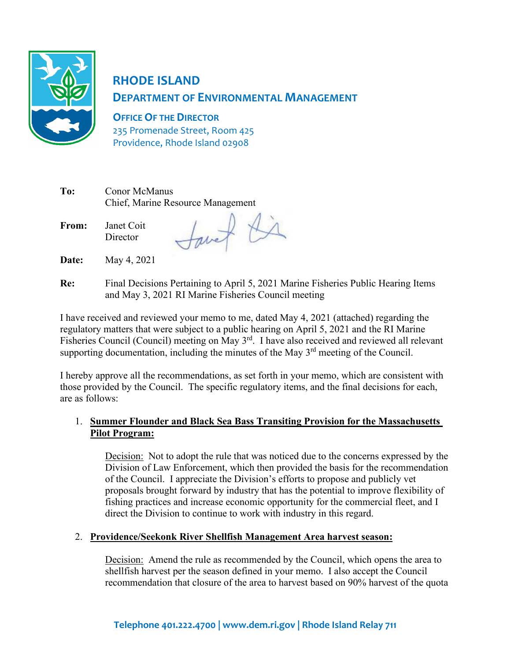

# **RHODE ISLAND DEPARTMENT OF ENVIRONMENTAL MANAGEMENT**

**OFFICE OF THE DIRECTOR** 235 Promenade Street, Room 425

Providence, Rhode Island 02908

| To: | Conor McManus                     |  |
|-----|-----------------------------------|--|
|     | Chief, Marine Resource Management |  |
|     |                                   |  |

**From:** Janet Coit **Director** 

Savet Ki

- **Date:** May 4, 2021
- **Re:** Final Decisions Pertaining to April 5, 2021 Marine Fisheries Public Hearing Items and May 3, 2021 RI Marine Fisheries Council meeting

I have received and reviewed your memo to me, dated May 4, 2021 (attached) regarding the regulatory matters that were subject to a public hearing on April 5, 2021 and the RI Marine Fisheries Council (Council) meeting on May 3<sup>rd</sup>. I have also received and reviewed all relevant supporting documentation, including the minutes of the May  $3<sup>rd</sup>$  meeting of the Council.

I hereby approve all the recommendations, as set forth in your memo, which are consistent with those provided by the Council. The specific regulatory items, and the final decisions for each, are as follows:

## 1. **Summer Flounder and Black Sea Bass Transiting Provision for the Massachusetts Pilot Program:**

Decision: Not to adopt the rule that was noticed due to the concerns expressed by the Division of Law Enforcement, which then provided the basis for the recommendation of the Council. I appreciate the Division's efforts to propose and publicly vet proposals brought forward by industry that has the potential to improve flexibility of fishing practices and increase economic opportunity for the commercial fleet, and I direct the Division to continue to work with industry in this regard.

## 2. **Providence/Seekonk River Shellfish Management Area harvest season:**

Decision: Amend the rule as recommended by the Council, which opens the area to shellfish harvest per the season defined in your memo. I also accept the Council recommendation that closure of the area to harvest based on 90% harvest of the quota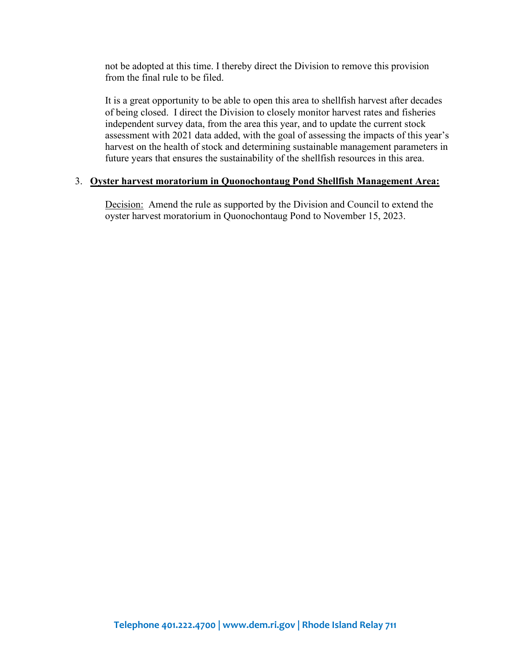not be adopted at this time. I thereby direct the Division to remove this provision from the final rule to be filed.

It is a great opportunity to be able to open this area to shellfish harvest after decades of being closed. I direct the Division to closely monitor harvest rates and fisheries independent survey data, from the area this year, and to update the current stock assessment with 2021 data added, with the goal of assessing the impacts of this year's harvest on the health of stock and determining sustainable management parameters in future years that ensures the sustainability of the shellfish resources in this area.

#### 3. **Oyster harvest moratorium in Quonochontaug Pond Shellfish Management Area:**

Decision: Amend the rule as supported by the Division and Council to extend the oyster harvest moratorium in Quonochontaug Pond to November 15, 2023.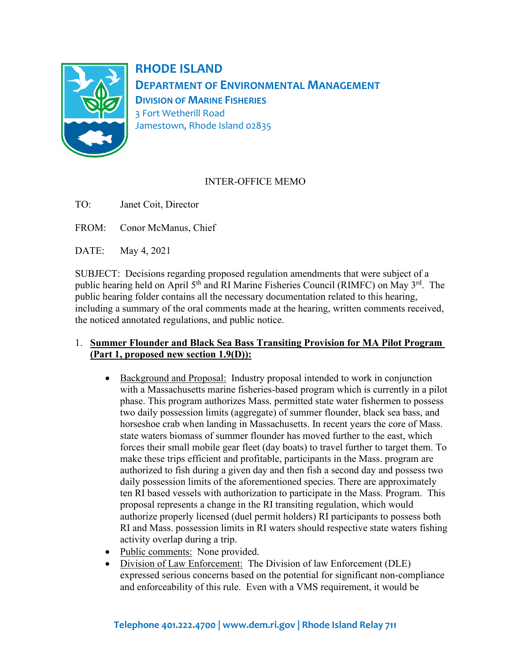

**RHODE ISLAND DEPARTMENT OF ENVIRONMENTAL MANAGEMENT DIVISION OF MARINE FISHERIES** 3 Fort Wetherill Road Jamestown, Rhode Island 02835

## INTER-OFFICE MEMO

- TO: Janet Coit, Director
- FROM: Conor McManus, Chief

DATE: May 4, 2021

SUBJECT: Decisions regarding proposed regulation amendments that were subject of a public hearing held on April 5<sup>th</sup> and RI Marine Fisheries Council (RIMFC) on May 3<sup>rd</sup>. The public hearing folder contains all the necessary documentation related to this hearing, including a summary of the oral comments made at the hearing, written comments received, the noticed annotated regulations, and public notice.

#### 1. **Summer Flounder and Black Sea Bass Transiting Provision for MA Pilot Program (Part 1, proposed new section 1.9(D)):**

- Background and Proposal: Industry proposal intended to work in conjunction with a Massachusetts marine fisheries-based program which is currently in a pilot phase. This program authorizes Mass. permitted state water fishermen to possess two daily possession limits (aggregate) of summer flounder, black sea bass, and horseshoe crab when landing in Massachusetts. In recent years the core of Mass. state waters biomass of summer flounder has moved further to the east, which forces their small mobile gear fleet (day boats) to travel further to target them. To make these trips efficient and profitable, participants in the Mass. program are authorized to fish during a given day and then fish a second day and possess two daily possession limits of the aforementioned species. There are approximately ten RI based vessels with authorization to participate in the Mass. Program. This proposal represents a change in the RI transiting regulation, which would authorize properly licensed (duel permit holders) RI participants to possess both RI and Mass. possession limits in RI waters should respective state waters fishing activity overlap during a trip.
- Public comments: None provided.
- Division of Law Enforcement: The Division of law Enforcement (DLE) expressed serious concerns based on the potential for significant non-compliance and enforceability of this rule. Even with a VMS requirement, it would be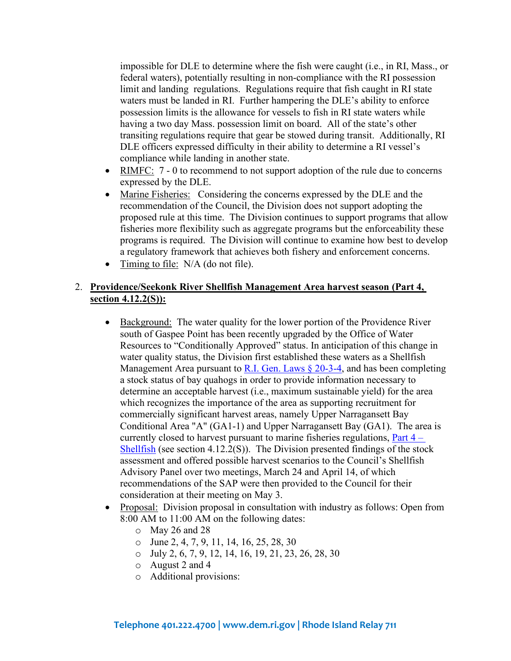impossible for DLE to determine where the fish were caught (i.e., in RI, Mass., or federal waters), potentially resulting in non-compliance with the RI possession limit and landing regulations. Regulations require that fish caught in RI state waters must be landed in RI. Further hampering the DLE's ability to enforce possession limits is the allowance for vessels to fish in RI state waters while having a two day Mass. possession limit on board. All of the state's other transiting regulations require that gear be stowed during transit. Additionally, RI DLE officers expressed difficulty in their ability to determine a RI vessel's compliance while landing in another state.

- RIMFC: 7 0 to recommend to not support adoption of the rule due to concerns expressed by the DLE.
- Marine Fisheries: Considering the concerns expressed by the DLE and the recommendation of the Council, the Division does not support adopting the proposed rule at this time. The Division continues to support programs that allow fisheries more flexibility such as aggregate programs but the enforceability these programs is required. The Division will continue to examine how best to develop a regulatory framework that achieves both fishery and enforcement concerns.
- Timing to file: N/A (do not file).

#### 2. **Providence/Seekonk River Shellfish Management Area harvest season (Part 4, section 4.12.2(S)):**

- Background: The water quality for the lower portion of the Providence River south of Gaspee Point has been recently upgraded by the Office of Water Resources to "Conditionally Approved" status. In anticipation of this change in water quality status, the Division first established these waters as a Shellfish Management Area pursuant to R.I. Gen. Laws  $\S$  20-3-4, and has been completing a stock status of bay quahogs in order to provide information necessary to determine an acceptable harvest (i.e., maximum sustainable yield) for the area which recognizes the importance of the area as supporting recruitment for commercially significant harvest areas, namely Upper Narragansett Bay Conditional Area "A" (GA1-1) and Upper Narragansett Bay (GA1). The area is currently closed to harvest pursuant to marine fisheries regulations, [Part 4 –](https://rules.sos.ri.gov/regulations/part/250-90-00-4) [Shellfish](https://rules.sos.ri.gov/regulations/part/250-90-00-4) (see section 4.12.2(S)). The Division presented findings of the stock assessment and offered possible harvest scenarios to the Council's Shellfish Advisory Panel over two meetings, March 24 and April 14, of which recommendations of the SAP were then provided to the Council for their consideration at their meeting on May 3.
- Proposal: Division proposal in consultation with industry as follows: Open from 8:00 AM to 11:00 AM on the following dates:
	- o May 26 and 28
	- o June 2, 4, 7, 9, 11, 14, 16, 25, 28, 30
	- o July 2, 6, 7, 9, 12, 14, 16, 19, 21, 23, 26, 28, 30
	- o August 2 and 4
	- o Additional provisions: